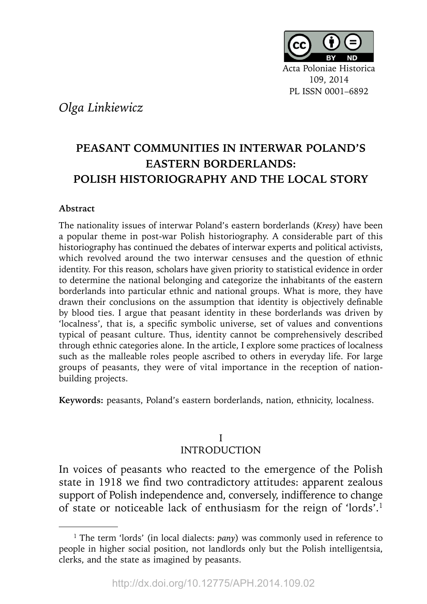

*Olga Linkiewicz*

# **PEASANT COMMUNITIES IN INTERWAR POLAND'S EASTERN BORDERLANDS: POLISH HISTORIOGRAPHY AND THE LOCAL STORY**

### **Abstract**

The nationality issues of interwar Poland's eastern borderlands (*Kresy*) have been a popular theme in post-war Polish historiography. A considerable part of this historiography has continued the debates of interwar experts and political activists, which revolved around the two interwar censuses and the question of ethnic identity. For this reason, scholars have given priority to statistical evidence in order to determine the national belonging and categorize the inhabitants of the eastern borderlands into particular ethnic and national groups. What is more, they have drawn their conclusions on the assumption that identity is objectively definable by blood ties. I argue that peasant identity in these borderlands was driven by 'localness', that is, a specific symbolic universe, set of values and conventions typical of peasant culture. Thus, identity cannot be comprehensively described through ethnic categories alone. In the article, I explore some practices of localness such as the malleable roles people ascribed to others in everyday life. For large groups of peasants, they were of vital importance in the reception of nationbuilding projects.

**Keywords:** peasants, Poland's eastern borderlands, nation, ethnicity, localness.

#### I INTRODUCTION

In voices of peasants who reacted to the emergence of the Polish state in 1918 we find two contradictory attitudes: apparent zealous support of Polish independence and, conversely, indifference to change of state or noticeable lack of enthusiasm for the reign of 'lords'.1

<sup>&</sup>lt;sup>1</sup> The term 'lords' (in local dialects: *pany*) was commonly used in reference to people in higher social position, not landlords only but the Polish intelligentsia, clerks, and the state as imagined by peasants.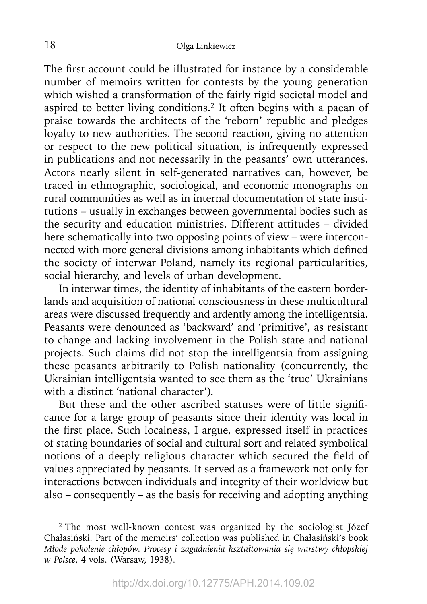The first account could be illustrated for instance by a considerable number of memoirs written for contests by the young generation which wished a transformation of the fairly rigid societal model and aspired to better living conditions.<sup>2</sup> It often begins with a paean of praise towards the architects of the 'reborn' republic and pledges loyalty to new authorities. The second reaction, giving no attention or respect to the new political situation, is infrequently expressed in publications and not necessarily in the peasants' own utterances. Actors nearly silent in self-generated narratives can, however, be traced in ethnographic, sociological, and economic monographs on rural communities as well as in internal documentation of state institutions – usually in exchanges between governmental bodies such as the security and education ministries. Different attitudes – divided here schematically into two opposing points of view – were interconnected with more general divisions among inhabitants which defined the society of interwar Poland, namely its regional particularities, social hierarchy, and levels of urban development.

In interwar times, the identity of inhabitants of the eastern borderlands and acquisition of national consciousness in these multicultural areas were discussed frequently and ardently among the intelligentsia. Peasants were denounced as 'backward' and 'primitive', as resistant to change and lacking involvement in the Polish state and national projects. Such claims did not stop the intelligentsia from assigning these peasants arbitrarily to Polish nationality (concurrently, the Ukrainian intelligentsia wanted to see them as the 'true' Ukrainians with a distinct 'national character').

But these and the other ascribed statuses were of little significance for a large group of peasants since their identity was local in the first place. Such localness, I argue, expressed itself in practices of stating boundaries of social and cultural sort and related symbolical notions of a deeply religious character which secured the field of values appreciated by peasants. It served as a framework not only for interactions between individuals and integrity of their worldview but also – consequently – as the basis for receiving and adopting anything

<sup>&</sup>lt;sup>2</sup> The most well-known contest was organized by the sociologist Józef Chałasiński. Part of the memoirs' collection was published in Chałasiński's book *Młode pokolenie chłopów. Procesy i zagadnienia kształtowania się warstwy chłopskiej w Polsce*, 4 vols. (Warsaw, 1938).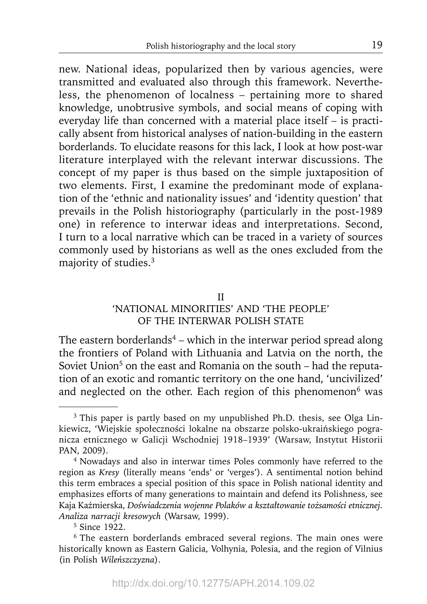new. National ideas, popularized then by various agencies, were transmitted and evaluated also through this framework. Nevertheless, the phenomenon of localness – pertaining more to shared knowledge, unobtrusive symbols, and social means of coping with everyday life than concerned with a material place itself – is practically absent from historical analyses of nation-building in the eastern borderlands. To elucidate reasons for this lack, I look at how post-war literature interplayed with the relevant interwar discussions. The concept of my paper is thus based on the simple juxtaposition of two elements. First, I examine the predominant mode of explanation of the 'ethnic and nationality issues' and 'identity question' that prevails in the Polish historiography (particularly in the post-1989 one) in reference to interwar ideas and interpretations. Second, I turn to a local narrative which can be traced in a variety of sources commonly used by historians as well as the ones excluded from the majority of studies.3

# II

# 'NATIONAL MINORITIES' AND 'THE PEOPLE' OF THE INTERWAR POLISH STATE

The eastern borderlands<sup>4</sup> – which in the interwar period spread along the frontiers of Poland with Lithuania and Latvia on the north, the Soviet Union<sup>5</sup> on the east and Romania on the south – had the reputation of an exotic and romantic territory on the one hand, 'uncivilized' and neglected on the other. Each region of this phenomenon<sup>6</sup> was

<sup>&</sup>lt;sup>3</sup> This paper is partly based on my unpublished Ph.D. thesis, see Olga Linkiewicz, 'Wiejskie społeczności lokalne na obszarze polsko-ukraińskiego pogranicza etnicznego w Galicji Wschodniej 1918–1939' (Warsaw, Instytut Historii PAN, 2009).

<sup>4</sup> Nowadays and also in interwar times Poles commonly have referred to the region as *Kresy* (literally means 'ends' or 'verges'). A sentimental notion behind this term embraces a special position of this space in Polish national identity and emphasizes efforts of many generations to maintain and defend its Polishness, see Kaja Kaźmierska, *Doświadczenia wojenne Polaków a kształtowanie tożsamości etnicznej. Analiza narracji kresowych* (Warsaw, 1999). 5 Since 1922.

<sup>&</sup>lt;sup>6</sup> The eastern borderlands embraced several regions. The main ones were historically known as Eastern Galicia, Volhynia, Polesia, and the region of Vilnius (in Polish *Wileńszczyzna*).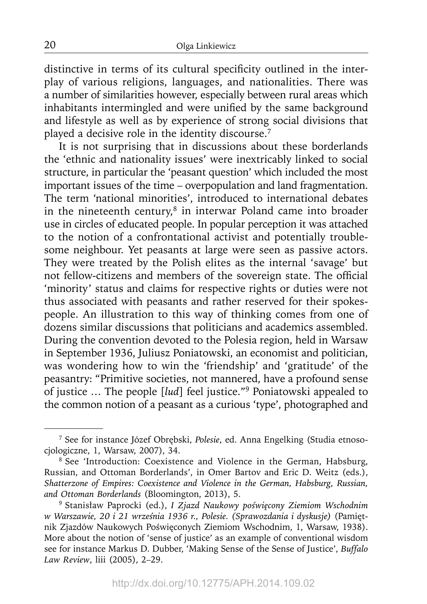distinctive in terms of its cultural specificity outlined in the interplay of various religions, languages, and nationalities. There was a number of similarities however, especially between rural areas which inhabitants intermingled and were unified by the same background and lifestyle as well as by experience of strong social divisions that played a decisive role in the identity discourse.7

It is not surprising that in discussions about these borderlands the 'ethnic and nationality issues' were inextricably linked to social structure, in particular the 'peasant question' which included the most important issues of the time – overpopulation and land fragmentation. The term 'national minorities', introduced to international debates in the nineteenth century, $8$  in interwar Poland came into broader use in circles of educated people. In popular perception it was attached to the notion of a confrontational activist and potentially troublesome neighbour. Yet peasants at large were seen as passive actors. They were treated by the Polish elites as the internal 'savage' but not fellow-citizens and members of the sovereign state. The official 'minority' status and claims for respective rights or duties were not thus associated with peasants and rather reserved for their spokespeople. An illustration to this way of thinking comes from one of dozens similar discussions that politicians and academics assembled. During the convention devoted to the Polesia region, held in Warsaw in September 1936, Juliusz Poniatowski, an economist and politician, was wondering how to win the 'friendship' and 'gratitude' of the peasantry: "Primitive societies, not mannered, have a profound sense of justice … The people [*lud*] feel justice."9 Poniatowski appealed to the common notion of a peasant as a curious 'type', photographed and

20

<sup>7</sup> See for instance Józef Obrębski, *Polesie*, ed. Anna Engelking (Studia etnosocjologiczne, 1, Warsaw, 2007), 34.

<sup>&</sup>lt;sup>8</sup> See 'Introduction: Coexistence and Violence in the German, Habsburg, Russian, and Ottoman Borderlands', in Omer Bartov and Eric D. Weitz (eds.), *Shatterzone of Empires: Coexistence and Violence in the German, Habsburg, Russian, and Ottoman Borderlands* (Bloomington, 2013), 5.

<sup>9</sup> Stanisław Paprocki (ed.), *I Zjazd Naukowy poświęcony Ziemiom Wschodnim w Warszawie, 20 i 21 września 1936 r., Polesie. (Sprawozdania i dyskusje)* (Pamiętnik Zjazdów Naukowych Poświęconych Ziemiom Wschodnim, 1, Warsaw, 1938). More about the notion of 'sense of justice' as an example of conventional wisdom see for instance Markus D. Dubber, 'Making Sense of the Sense of Justice', *Buffalo Law Review*, liii (2005), 2–29.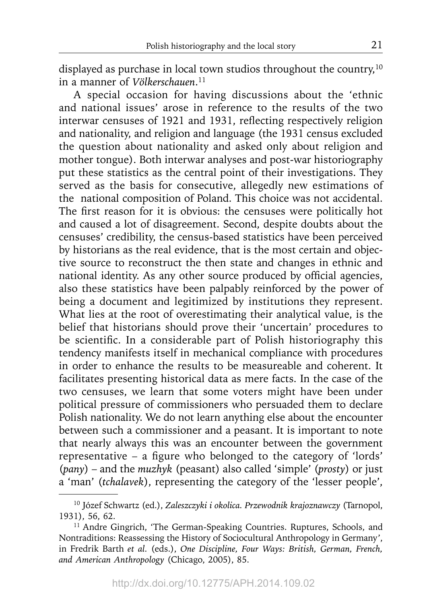displayed as purchase in local town studios throughout the country,<sup>10</sup> in a manner of *Völkerschauen*. 11

A special occasion for having discussions about the 'ethnic and national issues' arose in reference to the results of the two interwar censuses of 1921 and 1931, reflecting respectively religion and nationality, and religion and language (the 1931 census excluded the question about nationality and asked only about religion and mother tongue). Both interwar analyses and post-war historiography put these statistics as the central point of their investigations. They served as the basis for consecutive, allegedly new estimations of the national composition of Poland. This choice was not accidental. The first reason for it is obvious: the censuses were politically hot and caused a lot of disagreement. Second, despite doubts about the censuses' credibility, the census-based statistics have been perceived by historians as the real evidence, that is the most certain and objective source to reconstruct the then state and changes in ethnic and national identity. As any other source produced by official agencies, also these statistics have been palpably reinforced by the power of being a document and legitimized by institutions they represent. What lies at the root of overestimating their analytical value, is the belief that historians should prove their 'uncertain' procedures to be scientific. In a considerable part of Polish historiography this tendency manifests itself in mechanical compliance with procedures in order to enhance the results to be measureable and coherent. It facilitates presenting historical data as mere facts. In the case of the two censuses, we learn that some voters might have been under political pressure of commissioners who persuaded them to declare Polish nationality. We do not learn anything else about the encounter between such a commissioner and a peasant. It is important to note that nearly always this was an encounter between the government representative – a figure who belonged to the category of 'lords' (*pany*) – and the *muzhyk* (peasant) also called 'simple' (*prosty*) or just a 'man' (*tchalavek*), representing the category of the 'lesser people',

<sup>10</sup> Józef Schwartz (ed.), *Zaleszczyki i okolica. Przewodnik krajoznawczy* (Tarnopol, 1931), 56, 62.

<sup>&</sup>lt;sup>11</sup> Andre Gingrich, 'The German-Speaking Countries. Ruptures, Schools, and Nontraditions: Reassessing the History of Sociocultural Anthropology in Germany', in Fredrik Barth *et al.* (eds.), *One Discipline, Four Ways: British, German, French, and American Anthropology* (Chicago, 2005), 85.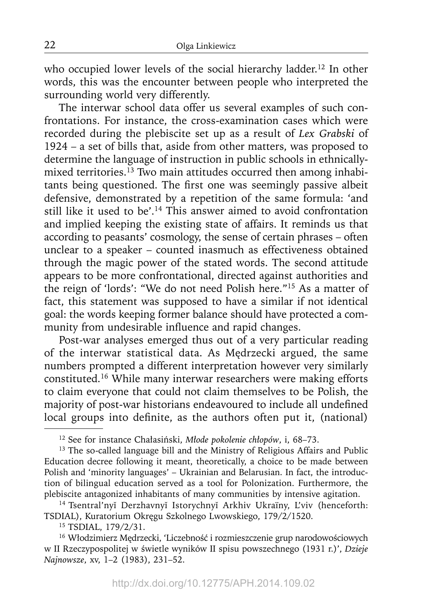who occupied lower levels of the social hierarchy ladder.<sup>12</sup> In other words, this was the encounter between people who interpreted the surrounding world very differently.

The interwar school data offer us several examples of such confrontations. For instance, the cross-examination cases which were recorded during the plebiscite set up as a result of *Lex Grabski* of 1924 – a set of bills that, aside from other matters, was proposed to determine the language of instruction in public schools in ethnicallymixed territories.<sup>13</sup> Two main attitudes occurred then among inhabitants being questioned. The first one was seemingly passive albeit defensive, demonstrated by a repetition of the same formula: 'and still like it used to be'.<sup>14</sup> This answer aimed to avoid confrontation and implied keeping the existing state of affairs. It reminds us that according to peasants' cosmology, the sense of certain phrases – often unclear to a speaker – counted inasmuch as effectiveness obtained through the magic power of the stated words. The second attitude appears to be more confrontational, directed against authorities and the reign of 'lords': "We do not need Polish here."15 As a matter of fact, this statement was supposed to have a similar if not identical goal: the words keeping former balance should have protected a community from undesirable influence and rapid changes.

Post-war analyses emerged thus out of a very particular reading of the interwar statistical data. As Mędrzecki argued, the same numbers prompted a different interpretation however very similarly constituted.16 While many interwar researchers were making efforts to claim everyone that could not claim themselves to be Polish, the majority of post-war historians endeavoured to include all undefined local groups into definite, as the authors often put it, (national)

<sup>12</sup> See for instance Chałasiński, *Młode pokolenie chłopów*, i, 68–73.

<sup>&</sup>lt;sup>13</sup> The so-called language bill and the Ministry of Religious Affairs and Public Education decree following it meant, theoretically, a choice to be made between Polish and 'minority languages' – Ukrainian and Belarusian. In fact, the introduction of bilingual education served as a tool for Polonization. Furthermore, the plebiscite antagonized inhabitants of many communities by intensive agitation.

<sup>&</sup>lt;sup>14</sup> Tsentral'nyĭ Derzhavnyĭ Istorychnyĭ Arkhiv Ukraïny, L'viv (henceforth: TSDIAL), Kuratorium Okręgu Szkolnego Lwowskiego, 179/2/1520. 15 TSDIAL, 179/2/31.

<sup>16</sup> Włodzimierz Mędrzecki, 'Liczebność i rozmieszczenie grup narodowościowych w II Rzeczypospolitej w świetle wyników II spisu powszechnego (1931 r.)', *Dzieje Najnowsze*, xv, 1–2 (1983), 231–52.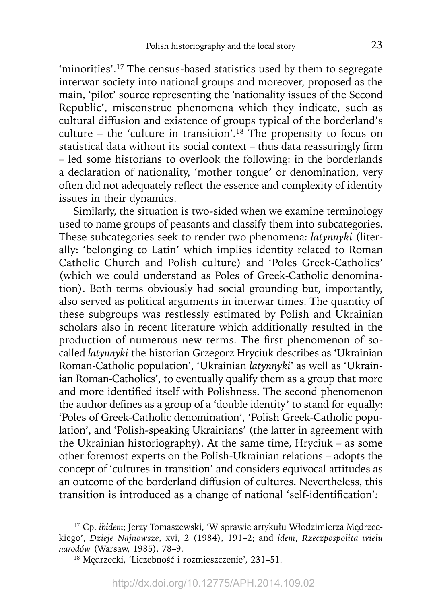'minorities'.<sup>17</sup> The census-based statistics used by them to segregate interwar society into national groups and moreover, proposed as the main, 'pilot' source representing the 'nationality issues of the Second Republic', misconstrue phenomena which they indicate, such as cultural diffusion and existence of groups typical of the borderland's culture – the 'culture in transition'.<sup>18</sup> The propensity to focus on statistical data without its social context - thus data reassuringly firm – led some historians to overlook the following: in the borderlands a declaration of nationality, 'mother tongue' or denomination, very often did not adequately reflect the essence and complexity of identity issues in their dynamics.

Similarly, the situation is two-sided when we examine terminology used to name groups of peasants and classify them into subcategories. These subcategories seek to render two phenomena: *latynnyki* (literally: 'belonging to Latin' which implies identity related to Roman Catholic Church and Polish culture) and 'Poles Greek-Catholics' (which we could understand as Poles of Greek-Catholic denomination). Both terms obviously had social grounding but, importantly, also served as political arguments in interwar times. The quantity of these subgroups was restlessly estimated by Polish and Ukrainian scholars also in recent literature which additionally resulted in the production of numerous new terms. The first phenomenon of socalled *latynnyki* the historian Grzegorz Hryciuk describes as 'Ukrainian Roman-Catholic population', 'Ukrainian *latynnyki*' as well as 'Ukrainian Roman-Catholics', to eventually qualify them as a group that more and more identified itself with Polishness. The second phenomenon the author defines as a group of a 'double identity' to stand for equally: 'Poles of Greek-Catholic denomination', 'Polish Greek-Catholic population', and 'Polish-speaking Ukrainians' (the latter in agreement with the Ukrainian historiography). At the same time, Hryciuk – as some other foremost experts on the Polish-Ukrainian relations – adopts the concept of 'cultures in transition' and considers equivocal attitudes as an outcome of the borderland diffusion of cultures. Nevertheless, this transition is introduced as a change of national 'self-identification':

<sup>17</sup> Cp. *ibidem*; Jerzy Tomaszewski, 'W sprawie artykułu Włodzimierza Mędrzeckiego', *Dzieje Najnowsze*, xvi, 2 (1984), 191–2; and *idem*, *Rzeczpospolita wielu narodów* (Warsaw, 1985), 78–9.

<sup>18</sup> Mędrzecki, 'Liczebność i rozmieszczenie', 231–51.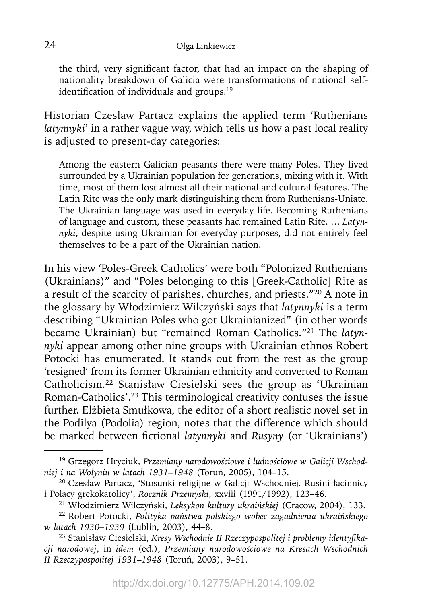the third, very significant factor, that had an impact on the shaping of nationality breakdown of Galicia were transformations of national selfidentification of individuals and groups.<sup>19</sup>

Historian Czesław Partacz explains the applied term 'Ruthenians *latynnyki*' in a rather vague way, which tells us how a past local reality is adjusted to present-day categories:

Among the eastern Galician peasants there were many Poles. They lived surrounded by a Ukrainian population for generations, mixing with it. With time, most of them lost almost all their national and cultural features. The Latin Rite was the only mark distinguishing them from Ruthenians-Uniate. The Ukrainian language was used in everyday life. Becoming Ruthenians of language and custom, these peasants had remained Latin Rite. … *Latynnyki*, despite using Ukrainian for everyday purposes, did not entirely feel themselves to be a part of the Ukrainian nation.

In his view 'Poles-Greek Catholics' were both "Polonized Ruthenians (Ukrainians)" and "Poles belonging to this [Greek-Catholic] Rite as a result of the scarcity of parishes, churches, and priests."20 A note in the glossary by Włodzimierz Wilczyński says that *latynnyki* is a term describing "Ukrainian Poles who got Ukrainianized" (in other words became Ukrainian) but "remained Roman Catholics."21 The *latynnyki* appear among other nine groups with Ukrainian ethnos Robert Potocki has enumerated. It stands out from the rest as the group 'resigned' from its former Ukrainian ethnicity and converted to Roman Catholicism.22 Stanisław Ciesielski sees the group as 'Ukrainian Roman-Catholics'.23 This terminological creativity confuses the issue further. Elżbieta Smułkowa, the editor of a short realistic novel set in the Podilya (Podolia) region, notes that the difference which should be marked between fictional *latynnyki* and *Rusyny* (or 'Ukrainians')

<sup>19</sup> Grzegorz Hryciuk, *Przemiany narodowościowe i ludnościowe w Galicji Wschodniej i na Wołyniu w latach 1931–1948* (Toruń, 2005), 104–15.

<sup>20</sup> Czesław Partacz, 'Stosunki religijne w Galicji Wschodniej. Rusini łacinnicy i Polacy grekokatolicy', *Rocznik Przemyski*, xxviii (1991/1992), 123–46.

<sup>21</sup> Włodzimierz Wilczyński, *Leksykon kultury ukraińskiej* (Cracow, 2004), 133.

<sup>22</sup> Robert Potocki, *Polityka państwa polskiego wobec zagadnienia ukraińskiego w latach 1930–1939* (Lublin, 2003), 44–8.

<sup>&</sup>lt;sup>23</sup> Stanisław Ciesielski, Kresy Wschodnie II Rzeczypospolitej i problemy identyfika*cji narodowej*, in *idem* (ed.), *Przemiany narodowościowe na Kresach Wschodnich II Rzeczypospolitej 1931*–*1948* (Toruń, 2003), 9–51.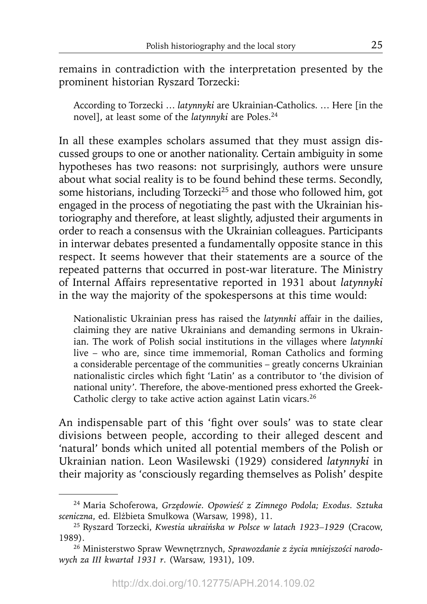remains in contradiction with the interpretation presented by the prominent historian Ryszard Torzecki:

According to Torzecki … *latynnyki* are Ukrainian-Catholics. … Here [in the novel], at least some of the *latynnyki* are Poles.24

In all these examples scholars assumed that they must assign discussed groups to one or another nationality. Certain ambiguity in some hypotheses has two reasons: not surprisingly, authors were unsure about what social reality is to be found behind these terms. Secondly, some historians, including Torzecki<sup>25</sup> and those who followed him, got engaged in the process of negotiating the past with the Ukrainian historiography and therefore, at least slightly, adjusted their arguments in order to reach a consensus with the Ukrainian colleagues. Participants in interwar debates presented a fundamentally opposite stance in this respect. It seems however that their statements are a source of the repeated patterns that occurred in post-war literature. The Ministry of Internal Affairs representative reported in 1931 about *latynnyki* in the way the majority of the spokespersons at this time would:

Nationalistic Ukrainian press has raised the *latynnki* affair in the dailies, claiming they are native Ukrainians and demanding sermons in Ukrainian. The work of Polish social institutions in the villages where *latynnki* live – who are, since time immemorial, Roman Catholics and forming a considerable percentage of the communities – greatly concerns Ukrainian nationalistic circles which fight 'Latin' as a contributor to 'the division of national unity'*.* Therefore, the above-mentioned press exhorted the Greek-Catholic clergy to take active action against Latin vicars.<sup>26</sup>

An indispensable part of this 'fight over souls' was to state clear divisions between people, according to their alleged descent and 'natural' bonds which united all potential members of the Polish or Ukrainian nation. Leon Wasilewski (1929) considered *latynnyki* in their majority as 'consciously regarding themselves as Polish' despite

<sup>24</sup> Maria Schoferowa, *Grzędowie. Opowieść z Zimnego Podola; Exodus. Sztuka sceniczna*, ed. Elżbieta Smułkowa (Warsaw, 1998), 11.

<sup>25</sup> Ryszard Torzecki, *Kwestia ukraińska w Polsce w latach 1923–1929* (Cracow, 1989).

<sup>26</sup> Ministerstwo Spraw Wewnętrznych, *Sprawozdanie z życia mniejszości narodowych za III kwartał 1931 r*. (Warsaw, 1931), 109.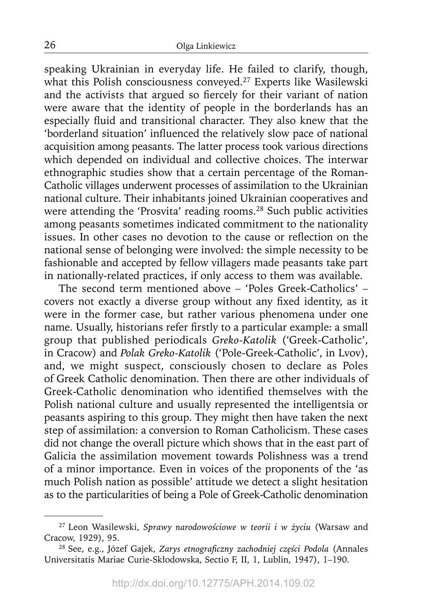speaking Ukrainian in everyday life. He failed to clarify, though, what this Polish consciousness conveyed.<sup>27</sup> Experts like Wasilewski and the activists that argued so fiercely for their variant of nation were aware that the identity of people in the borderlands has an especially fluid and transitional character. They also knew that the 'borderland situation' influenced the relatively slow pace of national acquisition among peasants. The latter process took various directions which depended on individual and collective choices. The interwar ethnographic studies show that a certain percentage of the Roman-Catholic villages underwent processes of assimilation to the Ukrainian national culture. Their inhabitants joined Ukrainian cooperatives and were attending the 'Prosvita' reading rooms.<sup>28</sup> Such public activities among peasants sometimes indicated commitment to the nationality issues. In other cases no devotion to the cause or reflection on the national sense of belonging were involved: the simple necessity to be fashionable and accepted by fellow villagers made peasants take part in nationally-related practices, if only access to them was available.

The second term mentioned above – 'Poles Greek-Catholics' – covers not exactly a diverse group without any fixed identity, as it were in the former case, but rather various phenomena under one name. Usually, historians refer firstly to a particular example: a small group that published periodicals *Greko-Katolik* ('Greek-Catholic', in Cracow) and *Polak Greko-Katolik* ('Pole-Greek-Catholic', in Lvov), and, we might suspect, consciously chosen to declare as Poles of Greek Catholic denomination. Then there are other individuals of Greek-Catholic denomination who identified themselves with the Polish national culture and usually represented the intelligentsia or peasants aspiring to this group. They might then have taken the next step of assimilation: a conversion to Roman Catholicism. These cases did not change the overall picture which shows that in the east part of Galicia the assimilation movement towards Polishness was a trend of a minor importance. Even in voices of the proponents of the 'as much Polish nation as possible' attitude we detect a slight hesitation as to the particularities of being a Pole of Greek-Catholic denomination

<sup>27</sup> Leon Wasilewski, *Sprawy narodowościowe w teorii i w życiu* (Warsaw and Cracow, 1929), 95.

<sup>&</sup>lt;sup>28</sup> See, e.g., Józef Gajek, Zarys etnograficzny zachodniej części Podola (Annales Universitatis Mariae Curie-Skłodowska, Sectio F, II, 1, Lublin, 1947), 1–190.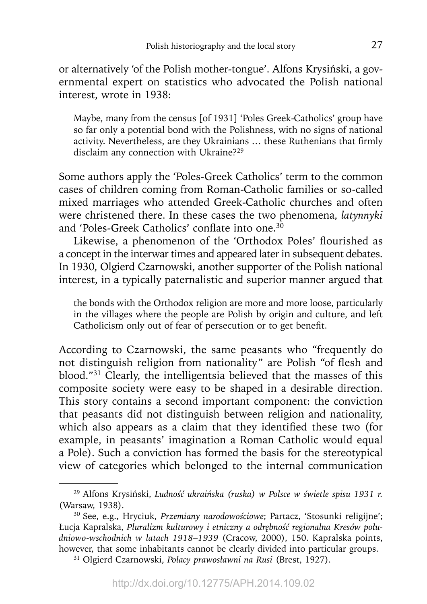or alternatively 'of the Polish mother-tongue'. Alfons Krysiński, a governmental expert on statistics who advocated the Polish national interest, wrote in 1938:

Maybe, many from the census [of 1931] 'Poles Greek-Catholics' group have so far only a potential bond with the Polishness, with no signs of national activity. Nevertheless, are they Ukrainians ... these Ruthenians that firmly disclaim any connection with Ukraine?29

Some authors apply the 'Poles-Greek Catholics' term to the common cases of children coming from Roman-Catholic families or so-called mixed marriages who attended Greek-Catholic churches and often were christened there. In these cases the two phenomena, *latynnyki* and 'Poles-Greek Catholics' conflate into one.<sup>30</sup>

Likewise, a phenomenon of the 'Orthodox Poles' flourished as a concept in the interwar times and appeared later in subsequent debates. In 1930, Olgierd Czarnowski, another supporter of the Polish national interest, in a typically paternalistic and superior manner argued that

the bonds with the Orthodox religion are more and more loose, particularly in the villages where the people are Polish by origin and culture, and left Catholicism only out of fear of persecution or to get benefit.

According to Czarnowski, the same peasants who "frequently do not distinguish religion from nationality" are Polish "of flesh and blood."<sup>31</sup> Clearly, the intelligentsia believed that the masses of this composite society were easy to be shaped in a desirable direction. This story contains a second important component: the conviction that peasants did not distinguish between religion and nationality, which also appears as a claim that they identified these two (for example, in peasants' imagination a Roman Catholic would equal a Pole). Such a conviction has formed the basis for the stereotypical view of categories which belonged to the internal communication

<sup>29</sup> Alfons Krysiński, *Ludność ukraińska (ruska) w Polsce w świetle spisu 1931 r.* (Warsaw, 1938).

<sup>30</sup> See, e.g., Hryciuk, *Przemiany narodowościowe*; Partacz, 'Stosunki religijne'; Łucja Kapralska, *Pluralizm kulturowy i etniczny a odrębność regionalna Kresów południowo-wschodnich w latach 1918–1939* (Cracow, 2000), 150. Kapralska points, however, that some inhabitants cannot be clearly divided into particular groups. 31 Olgierd Czarnowski, *Polacy prawosławni na Rusi* (Brest, 1927).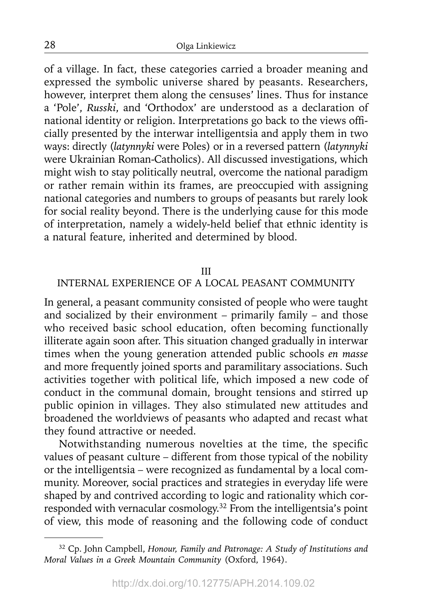of a village. In fact, these categories carried a broader meaning and expressed the symbolic universe shared by peasants. Researchers, however, interpret them along the censuses' lines. Thus for instance a 'Pole', *Russki*, and 'Orthodox' are understood as a declaration of national identity or religion. Interpretations go back to the views officially presented by the interwar intelligentsia and apply them in two ways: directly (*latynnyki* were Poles) or in a reversed pattern (*latynnyki* were Ukrainian Roman-Catholics). All discussed investigations, which might wish to stay politically neutral, overcome the national paradigm or rather remain within its frames, are preoccupied with assigning national categories and numbers to groups of peasants but rarely look for social reality beyond. There is the underlying cause for this mode of interpretation, namely a widely-held belief that ethnic identity is a natural feature, inherited and determined by blood.

#### III

## INTERNAL EXPERIENCE OF A LOCAL PEASANT COMMUNITY

In general, a peasant community consisted of people who were taught and socialized by their environment – primarily family – and those who received basic school education, often becoming functionally illiterate again soon after. This situation changed gradually in interwar times when the young generation attended public schools *en masse*  and more frequently joined sports and paramilitary associations. Such activities together with political life, which imposed a new code of conduct in the communal domain, brought tensions and stirred up public opinion in villages. They also stimulated new attitudes and broadened the worldviews of peasants who adapted and recast what they found attractive or needed.

Notwithstanding numerous novelties at the time, the specific values of peasant culture – different from those typical of the nobility or the intelligentsia – were recognized as fundamental by a local community. Moreover, social practices and strategies in everyday life were shaped by and contrived according to logic and rationality which corresponded with vernacular cosmology.32 From the intelligentsia's point of view, this mode of reasoning and the following code of conduct

<sup>32</sup> Cp. John Campbell, *Honour, Family and Patronage: A Study of Institutions and Moral Values in a Greek Mountain Community* (Oxford, 1964).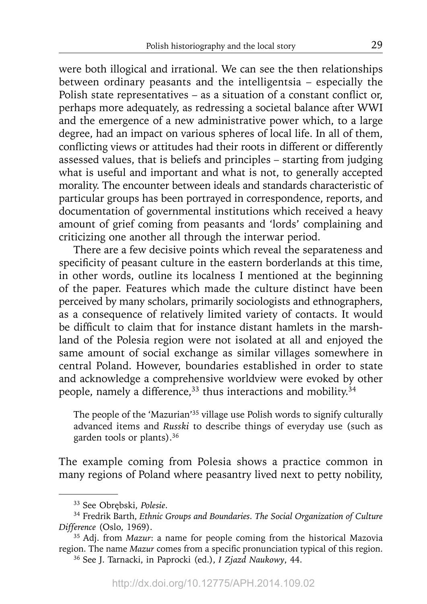were both illogical and irrational. We can see the then relationships between ordinary peasants and the intelligentsia – especially the Polish state representatives – as a situation of a constant conflict or, perhaps more adequately, as redressing a societal balance after WWI and the emergence of a new administrative power which, to a large degree, had an impact on various spheres of local life. In all of them, conflicting views or attitudes had their roots in different or differently assessed values, that is beliefs and principles – starting from judging what is useful and important and what is not, to generally accepted morality. The encounter between ideals and standards characteristic of particular groups has been portrayed in correspondence, reports, and documentation of governmental institutions which received a heavy amount of grief coming from peasants and 'lords' complaining and criticizing one another all through the interwar period.

There are a few decisive points which reveal the separateness and specificity of peasant culture in the eastern borderlands at this time, in other words, outline its localness I mentioned at the beginning of the paper. Features which made the culture distinct have been perceived by many scholars, primarily sociologists and ethnographers, as a consequence of relatively limited variety of contacts. It would be difficult to claim that for instance distant hamlets in the marshland of the Polesia region were not isolated at all and enjoyed the same amount of social exchange as similar villages somewhere in central Poland. However, boundaries established in order to state and acknowledge a comprehensive worldview were evoked by other people, namely a difference,<sup>33</sup> thus interactions and mobility.<sup>34</sup>

The people of the 'Mazurian'35 village use Polish words to signify culturally advanced items and *Russki* to describe things of everyday use (such as garden tools or plants).36

The example coming from Polesia shows a practice common in many regions of Poland where peasantry lived next to petty nobility,

<sup>33</sup> See Obrębski, *Polesie*.

<sup>34</sup> Fredrik Barth, *Ethnic Groups and Boundaries. The Social Organization of Culture Difference* (Oslo, 1969).

<sup>35</sup> Adj. from *Mazur*: a name for people coming from the historical Mazovia region. The name *Mazur* comes from a specific pronunciation typical of this region.

<sup>36</sup> See J. Tarnacki, in Paprocki (ed.), *I Zjazd Naukowy*, 44.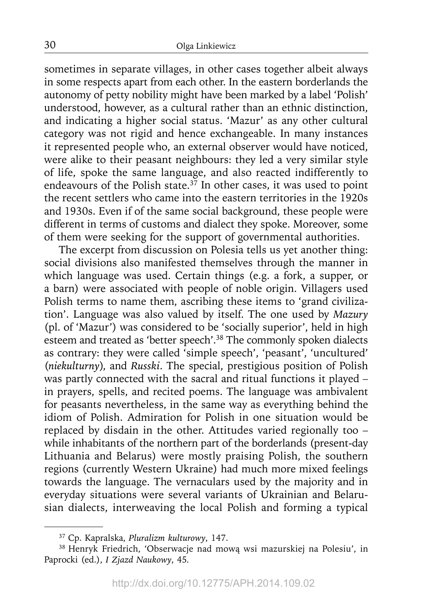sometimes in separate villages, in other cases together albeit always in some respects apart from each other. In the eastern borderlands the autonomy of petty nobility might have been marked by a label 'Polish' understood, however, as a cultural rather than an ethnic distinction, and indicating a higher social status. 'Mazur' as any other cultural category was not rigid and hence exchangeable. In many instances it represented people who, an external observer would have noticed, were alike to their peasant neighbours: they led a very similar style of life, spoke the same language, and also reacted indifferently to endeavours of the Polish state.<sup>37</sup> In other cases, it was used to point the recent settlers who came into the eastern territories in the 1920s and 1930s. Even if of the same social background, these people were different in terms of customs and dialect they spoke. Moreover, some of them were seeking for the support of governmental authorities.

The excerpt from discussion on Polesia tells us yet another thing: social divisions also manifested themselves through the manner in which language was used. Certain things (e.g. a fork, a supper, or a barn) were associated with people of noble origin. Villagers used Polish terms to name them, ascribing these items to 'grand civilization'. Language was also valued by itself. The one used by *Mazury* (pl. of 'Mazur') was considered to be 'socially superior', held in high esteem and treated as 'better speech'.38 The commonly spoken dialects as contrary: they were called 'simple speech', 'peasant', 'uncultured' (*niekulturny*), and *Russki*. The special, prestigious position of Polish was partly connected with the sacral and ritual functions it played – in prayers, spells, and recited poems. The language was ambivalent for peasants nevertheless, in the same way as everything behind the idiom of Polish. Admiration for Polish in one situation would be replaced by disdain in the other. Attitudes varied regionally too – while inhabitants of the northern part of the borderlands (present-day Lithuania and Belarus) were mostly praising Polish, the southern regions (currently Western Ukraine) had much more mixed feelings towards the language. The vernaculars used by the majority and in everyday situations were several variants of Ukrainian and Belarusian dialects, interweaving the local Polish and forming a typical

<sup>37</sup> Cp. Kapralska, *Pluralizm kulturowy*, 147.

<sup>38</sup> Henryk Friedrich, 'Obserwacje nad mową wsi mazurskiej na Polesiu', in Paprocki (ed.), *I Zjazd Naukowy*, 45*.*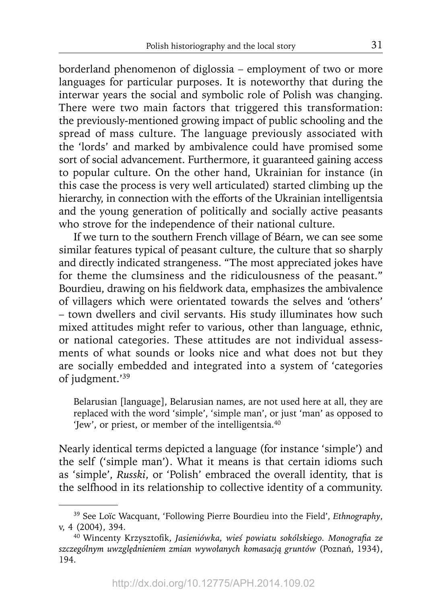borderland phenomenon of diglossia – employment of two or more languages for particular purposes. It is noteworthy that during the interwar years the social and symbolic role of Polish was changing. There were two main factors that triggered this transformation: the previously-mentioned growing impact of public schooling and the spread of mass culture. The language previously associated with the 'lords' and marked by ambivalence could have promised some sort of social advancement. Furthermore, it guaranteed gaining access to popular culture. On the other hand, Ukrainian for instance (in this case the process is very well articulated) started climbing up the hierarchy, in connection with the efforts of the Ukrainian intelligentsia and the young generation of politically and socially active peasants who strove for the independence of their national culture.

If we turn to the southern French village of Béarn, we can see some similar features typical of peasant culture, the culture that so sharply and directly indicated strangeness. "The most appreciated jokes have for theme the clumsiness and the ridiculousness of the peasant." Bourdieu, drawing on his fieldwork data, emphasizes the ambivalence of villagers which were orientated towards the selves and 'others' – town dwellers and civil servants. His study illuminates how such mixed attitudes might refer to various, other than language, ethnic, or national categories. These attitudes are not individual assessments of what sounds or looks nice and what does not but they are socially embedded and integrated into a system of 'categories of judgment.'39

Belarusian [language], Belarusian names, are not used here at all, they are replaced with the word 'simple', 'simple man', or just 'man' as opposed to 'Jew', or priest, or member of the intelligentsia.40

Nearly identical terms depicted a language (for instance 'simple') and the self ('simple man'). What it means is that certain idioms such as 'simple', *Russki*, or 'Polish' embraced the overall identity, that is the selfhood in its relationship to collective identity of a community.

<sup>39</sup> See Loïc Wacquant, 'Following Pierre Bourdieu into the Field', *Ethnography*, v, 4 (2004), 394.

<sup>&</sup>lt;sup>40</sup> Wincenty Krzysztofik, Jasieniówka, wieś powiatu sokólskiego. Monografia ze *szczególnym uwzględnieniem zmian wywołanych komasacją gruntów* (Poznań, 1934), 194.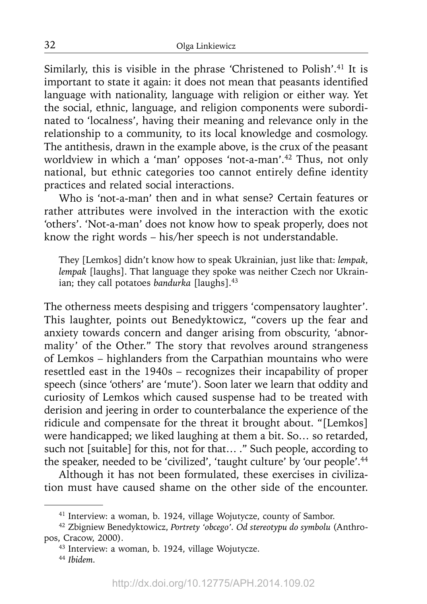Similarly, this is visible in the phrase 'Christened to Polish'.<sup>41</sup> It is important to state it again: it does not mean that peasants identified language with nationality, language with religion or either way. Yet the social, ethnic, language, and religion components were subordinated to 'localness', having their meaning and relevance only in the relationship to a community, to its local knowledge and cosmology. The antithesis, drawn in the example above, is the crux of the peasant worldview in which a 'man' opposes 'not-a-man'.42 Thus, not only national, but ethnic categories too cannot entirely define identity practices and related social interactions.

Who is 'not-a-man' then and in what sense? Certain features or rather attributes were involved in the interaction with the exotic 'others'. 'Not-a-man' does not know how to speak properly, does not know the right words – his/her speech is not understandable.

They [Lemkos] didn't know how to speak Ukrainian, just like that: *lempak*, *lempak* [laughs]. That language they spoke was neither Czech nor Ukrainian; they call potatoes *bandurka* [laughs].<sup>43</sup>

The otherness meets despising and triggers 'compensatory laughter'. This laughter, points out Benedyktowicz, "covers up the fear and anxiety towards concern and danger arising from obscurity, 'abnormality' of the Other." The story that revolves around strangeness of Lemkos – highlanders from the Carpathian mountains who were resettled east in the 1940s – recognizes their incapability of proper speech (since 'others' are 'mute'). Soon later we learn that oddity and curiosity of Lemkos which caused suspense had to be treated with derision and jeering in order to counterbalance the experience of the ridicule and compensate for the threat it brought about. "[Lemkos] were handicapped; we liked laughing at them a bit. So… so retarded, such not [suitable] for this, not for that… ." Such people, according to the speaker, needed to be 'civilized', 'taught culture' by 'our people'.<sup>44</sup>

Although it has not been formulated, these exercises in civilization must have caused shame on the other side of the encounter.

<sup>41</sup> Interview: a woman, b. 1924, village Wojutycze, county of Sambor.

<sup>42</sup> Zbigniew Benedyktowicz, *Portrety 'obcego'. Od stereotypu do symbolu* (Anthropos, Cracow, 2000).

<sup>43</sup> Interview: a woman, b. 1924, village Wojutycze.

<sup>44</sup>*Ibidem.*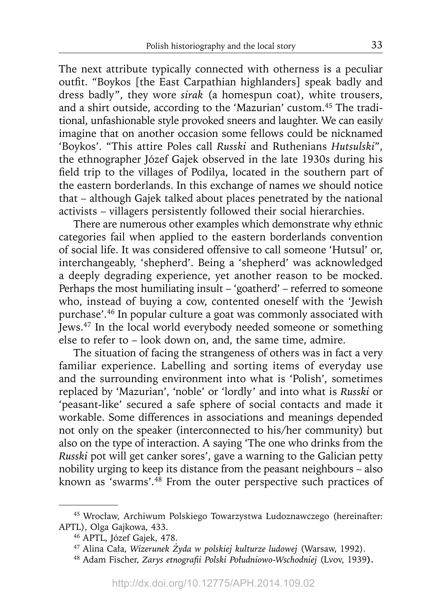The next attribute typically connected with otherness is a peculiar outfit. "Boykos [the East Carpathian highlanders] speak badly and dress badly", they wore *sirak* (a homespun coat), white trousers, and a shirt outside, according to the 'Mazurian' custom.45 The traditional, unfashionable style provoked sneers and laughter. We can easily imagine that on another occasion some fellows could be nicknamed 'Boykos'. "This attire Poles call *Russki* and Ruthenians *Hutsulski*", the ethnographer Józef Gajek observed in the late 1930s during his field trip to the villages of Podilya, located in the southern part of the eastern borderlands. In this exchange of names we should notice that – although Gajek talked about places penetrated by the national activists – villagers persistently followed their social hierarchies.

There are numerous other examples which demonstrate why ethnic categories fail when applied to the eastern borderlands convention of social life. It was considered offensive to call someone 'Hutsul' or, interchangeably, 'shepherd'. Being a 'shepherd' was acknowledged a deeply degrading experience, yet another reason to be mocked. Perhaps the most humiliating insult – 'goatherd' – referred to someone who, instead of buying a cow, contented oneself with the 'Jewish purchase'.46 In popular culture a goat was commonly associated with Jews.47 In the local world everybody needed someone or something else to refer to – look down on, and, the same time, admire.

The situation of facing the strangeness of others was in fact a very familiar experience. Labelling and sorting items of everyday use and the surrounding environment into what is 'Polish', sometimes replaced by 'Mazurian', 'noble' or 'lordly' and into what is *Russki* or 'peasant-like' secured a safe sphere of social contacts and made it workable. Some differences in associations and meanings depended not only on the speaker (interconnected to his/her community) but also on the type of interaction. A saying 'The one who drinks from the *Russki* pot will get canker sores', gave a warning to the Galician petty nobility urging to keep its distance from the peasant neighbours – also known as 'swarms'.48 From the outer perspective such practices of

<sup>45</sup> Wrocław, Archiwum Polskiego Towarzystwa Ludoznawczego (hereinafter: APTL), Olga Gajkowa, 433.

<sup>46</sup> APTL, Józef Gajek, 478.

<sup>47</sup> Alina Cała, *Wizerunek Żyda w polskiej kulturze ludowej* (Warsaw, 1992).

<sup>48</sup> Adam Fischer, *Zarys etnografi i Polski Południowo-Wschodniej* (Lvov, 1939**).**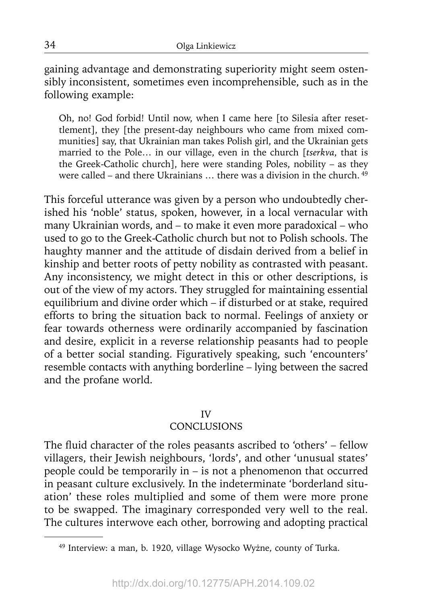gaining advantage and demonstrating superiority might seem ostensibly inconsistent, sometimes even incomprehensible, such as in the following example:

Oh, no! God forbid! Until now, when I came here [to Silesia after resettlement], they [the present-day neighbours who came from mixed communities] say, that Ukrainian man takes Polish girl, and the Ukrainian gets married to the Pole… in our village, even in the church [*tserkva*, that is the Greek-Catholic church], here were standing Poles, nobility – as they were called – and there Ukrainians  $\ldots$  there was a division in the church.  $49$ 

This forceful utterance was given by a person who undoubtedly cherished his 'noble' status, spoken, however, in a local vernacular with many Ukrainian words, and – to make it even more paradoxical – who used to go to the Greek-Catholic church but not to Polish schools. The haughty manner and the attitude of disdain derived from a belief in kinship and better roots of petty nobility as contrasted with peasant. Any inconsistency, we might detect in this or other descriptions, is out of the view of my actors. They struggled for maintaining essential equilibrium and divine order which – if disturbed or at stake, required efforts to bring the situation back to normal. Feelings of anxiety or fear towards otherness were ordinarily accompanied by fascination and desire, explicit in a reverse relationship peasants had to people of a better social standing. Figuratively speaking, such 'encounters' resemble contacts with anything borderline – lying between the sacred and the profane world.

#### IV

# **CONCLUSIONS**

The fluid character of the roles peasants ascribed to 'others' - fellow villagers, their Jewish neighbours, 'lords', and other 'unusual states' people could be temporarily in – is not a phenomenon that occurred in peasant culture exclusively. In the indeterminate 'borderland situation' these roles multiplied and some of them were more prone to be swapped. The imaginary corresponded very well to the real. The cultures interwove each other, borrowing and adopting practical

<sup>49</sup> Interview: a man, b. 1920, village Wysocko Wyżne, county of Turka.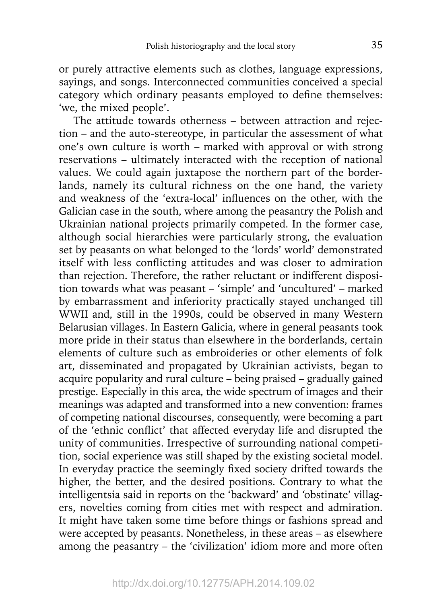or purely attractive elements such as clothes, language expressions, sayings, and songs. Interconnected communities conceived a special category which ordinary peasants employed to define themselves: 'we, the mixed people'.

The attitude towards otherness – between attraction and rejection – and the auto-stereotype, in particular the assessment of what one's own culture is worth – marked with approval or with strong reservations – ultimately interacted with the reception of national values. We could again juxtapose the northern part of the borderlands, namely its cultural richness on the one hand, the variety and weakness of the 'extra-local' influences on the other, with the Galician case in the south, where among the peasantry the Polish and Ukrainian national projects primarily competed. In the former case, although social hierarchies were particularly strong, the evaluation set by peasants on what belonged to the 'lords' world' demonstrated itself with less conflicting attitudes and was closer to admiration than rejection. Therefore, the rather reluctant or indifferent disposition towards what was peasant – 'simple' and 'uncultured' – marked by embarrassment and inferiority practically stayed unchanged till WWII and, still in the 1990s, could be observed in many Western Belarusian villages. In Eastern Galicia, where in general peasants took more pride in their status than elsewhere in the borderlands, certain elements of culture such as embroideries or other elements of folk art, disseminated and propagated by Ukrainian activists, began to acquire popularity and rural culture – being praised – gradually gained prestige. Especially in this area, the wide spectrum of images and their meanings was adapted and transformed into a new convention: frames of competing national discourses, consequently, were becoming a part of the 'ethnic conflict' that affected everyday life and disrupted the unity of communities. Irrespective of surrounding national competition, social experience was still shaped by the existing societal model. In everyday practice the seemingly fixed society drifted towards the higher, the better, and the desired positions. Contrary to what the intelligentsia said in reports on the 'backward' and 'obstinate' villagers, novelties coming from cities met with respect and admiration. It might have taken some time before things or fashions spread and were accepted by peasants. Nonetheless, in these areas – as elsewhere among the peasantry – the 'civilization' idiom more and more often